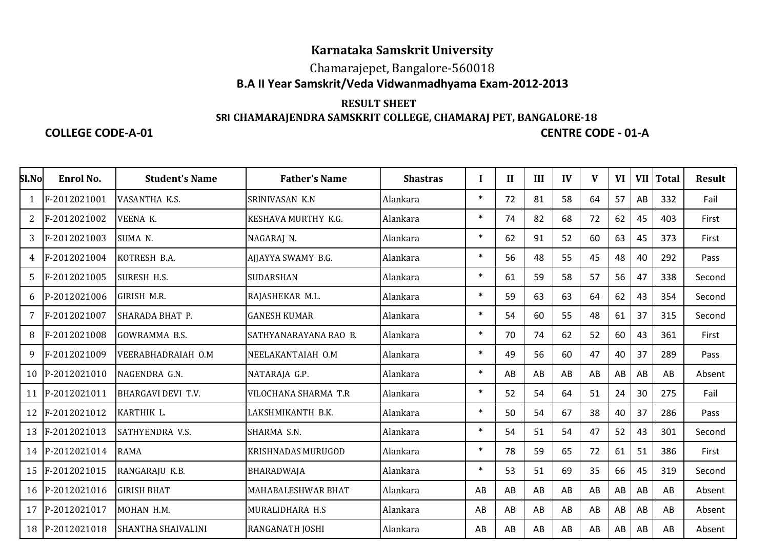## **Karnataka Samskrit University**

### Chamarajepet, Bangalore-560018**B.A II Year Samskrit/Veda Vidwanmadhyama Exam-2012-2013**

#### **RESULT SHEET SRI CHAMARAJENDRA SAMSKRIT COLLEGE, CHAMARAJ PET, BANGALORE-18**

#### **COLLEGE CODE-A-01**

# **CENTRE CODE - 01-A**

| <b>Sl.No</b> | Enrol No.       | <b>Student's Name</b>     | <b>Father's Name</b>   | <b>Shastras</b> |        | $\mathbf{I}$ | III | IV | V  | <b>VI</b> | VII | <b>Total</b> | <b>Result</b> |
|--------------|-----------------|---------------------------|------------------------|-----------------|--------|--------------|-----|----|----|-----------|-----|--------------|---------------|
| 1            | F-2012021001    | VASANTHA K.S.             | SRINIVASAN K.N         | Alankara        | $\ast$ | 72           | 81  | 58 | 64 | 57        | AB  | 332          | Fail          |
| 2            | F-2012021002    | VEENA K.                  | KESHAVA MURTHY K.G.    | Alankara        | $\ast$ | 74           | 82  | 68 | 72 | 62        | 45  | 403          | First         |
| 3            | F-2012021003    | SUMA <sub>N</sub> .       | NAGARAJ N.             | Alankara        | $\ast$ | 62           | 91  | 52 | 60 | 63        | 45  | 373          | First         |
| 4            | F-2012021004    | KOTRESH B.A.              | AJJAYYA SWAMY B.G.     | Alankara        | $\ast$ | 56           | 48  | 55 | 45 | 48        | 40  | 292          | Pass          |
| 5            | F-2012021005    | <b>SURESH H.S.</b>        | <b>SUDARSHAN</b>       | Alankara        | $\ast$ | 61           | 59  | 58 | 57 | 56        | 47  | 338          | Second        |
| 6            | P-2012021006    | GIRISH M.R.               | RAJASHEKAR M.L.        | Alankara        | $\ast$ | 59           | 63  | 63 | 64 | 62        | 43  | 354          | Second        |
| 7            | F-2012021007    | SHARADA BHAT P.           | <b>GANESH KUMAR</b>    | Alankara        | $\ast$ | 54           | 60  | 55 | 48 | 61        | 37  | 315          | Second        |
| 8            | F-2012021008    | <b>GOWRAMMA B.S.</b>      | SATHYANARAYANA RAO B.  | Alankara        | $\ast$ | 70           | 74  | 62 | 52 | 60        | 43  | 361          | First         |
| 9            | F-2012021009    | VEERABHADRAIAH O.M        | NEELAKANTAIAH O.M      | Alankara        | $\ast$ | 49           | 56  | 60 | 47 | 40        | 37  | 289          | Pass          |
| 10           | P-2012021010    | NAGENDRA G.N.             | NATARAJA G.P.          | Alankara        | $\ast$ | AB           | AB  | AB | AB | AB        | AB  | AB           | Absent        |
| 11           | P-2012021011    | <b>BHARGAVI DEVI T.V.</b> | VILOCHANA SHARMA T.R   | Alankara        | $\ast$ | 52           | 54  | 64 | 51 | 24        | 30  | 275          | Fail          |
| 12           | F-2012021012    | KARTHIK L.                | LAKSHMIKANTH B.K.      | Alankara        | $\ast$ | 50           | 54  | 67 | 38 | 40        | 37  | 286          | Pass          |
| 13           | F-2012021013    | <b>SATHYENDRA V.S.</b>    | SHARMA S.N.            | Alankara        | $\ast$ | 54           | 51  | 54 | 47 | 52        | 43  | 301          | Second        |
| 14           | P-2012021014    | <b>RAMA</b>               | KRISHNADAS MURUGOD     | Alankara        | $\ast$ | 78           | 59  | 65 | 72 | 61        | 51  | 386          | First         |
| 15           | F-2012021015    | RANGARAJU K.B.            | BHARADWAJA             | Alankara        | $\ast$ | 53           | 51  | 69 | 35 | 66        | 45  | 319          | Second        |
|              | 16 P-2012021016 | <b>GIRISH BHAT</b>        | MAHABALESHWAR BHAT     | Alankara        | AB     | AB           | AB  | AB | AB | AB        | AB  | AB           | Absent        |
| 17           | P-2012021017    | MOHAN H.M.                | MURALIDHARA H.S        | Alankara        | AB     | AB           | AB  | AB | AB | AB        | AB  | AB           | Absent        |
|              | 18 P-2012021018 | <b>SHANTHA SHAIVALINI</b> | <b>RANGANATH JOSHI</b> | Alankara        | AB     | AB           | AB  | AB | AB | AB        | AB  | AB           | Absent        |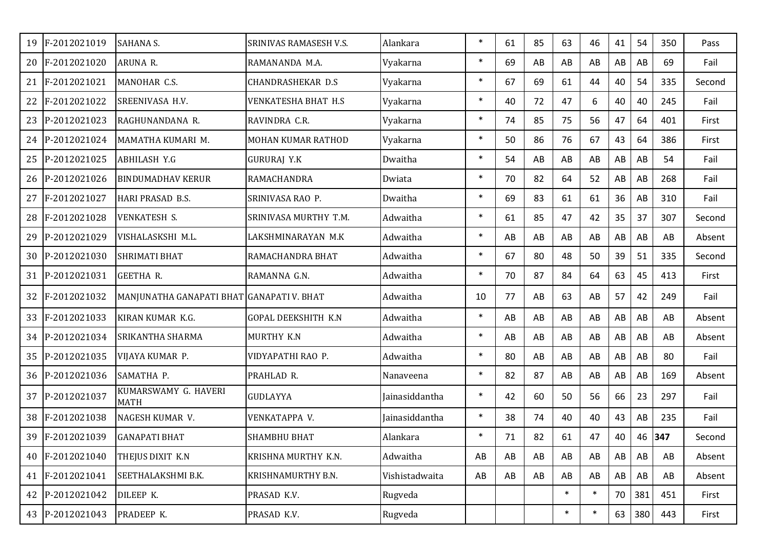| 19 | F-2012021019    | <b>SAHANA S.</b>                          | SRINIVAS RAMASESH V.S.     | Alankara              | $\ast$ | 61 | 85 | 63     | 46     | 41 | 54  | 350    | Pass   |
|----|-----------------|-------------------------------------------|----------------------------|-----------------------|--------|----|----|--------|--------|----|-----|--------|--------|
| 20 | F-2012021020    | ARUNA R.                                  | RAMANANDA M.A.             | Vyakarna              | $\ast$ | 69 | AB | AB     | AB     | AB | AB  | 69     | Fail   |
| 21 | F-2012021021    | MANOHAR C.S.                              | <b>CHANDRASHEKAR D.S</b>   | Vyakarna              | $\ast$ | 67 | 69 | 61     | 44     | 40 | 54  | 335    | Second |
| 22 | F-2012021022    | SREENIVASA H.V.                           | <b>VENKATESHA BHAT H.S</b> | Vyakarna              | $\ast$ | 40 | 72 | 47     | 6      | 40 | 40  | 245    | Fail   |
| 23 | P-2012021023    | RAGHUNANDANA R.                           | RAVINDRA C.R.              | Vyakarna              | $\ast$ | 74 | 85 | 75     | 56     | 47 | 64  | 401    | First  |
| 24 | P-2012021024    | MAMATHA KUMARI M.                         | MOHAN KUMAR RATHOD         | Vyakarna              | $\ast$ | 50 | 86 | 76     | 67     | 43 | 64  | 386    | First  |
| 25 | P-2012021025    | <b>ABHILASH Y.G</b>                       | <b>GURURAJ Y.K</b>         | Dwaitha               | $\ast$ | 54 | AB | AB     | AB     | AB | AB  | 54     | Fail   |
| 26 | P-2012021026    | <b>BINDUMADHAV KERUR</b>                  | RAMACHANDRA                | Dwiata                | $\ast$ | 70 | 82 | 64     | 52     | AB | AB  | 268    | Fail   |
| 27 | F-2012021027    | HARI PRASAD B.S.                          | SRINIVASA RAO P.           | Dwaitha               | $\ast$ | 69 | 83 | 61     | 61     | 36 | AB  | 310    | Fail   |
| 28 | F-2012021028    | <b>VENKATESH S.</b>                       | SRINIVASA MURTHY T.M.      | Adwaitha              | $\ast$ | 61 | 85 | 47     | 42     | 35 | 37  | 307    | Second |
| 29 | P-2012021029    | VISHALASKSHI M.L.                         | LAKSHMINARAYAN M.K         | Adwaitha              | $\ast$ | AB | AB | AB     | AB     | AB | AB  | AB     | Absent |
| 30 | P-2012021030    | <b>SHRIMATI BHAT</b>                      | RAMACHANDRA BHAT           | Adwaitha              | $\ast$ | 67 | 80 | 48     | 50     | 39 | 51  | 335    | Second |
| 31 | P-2012021031    | <b>GEETHA R.</b>                          | RAMANNA G.N.               | Adwaitha              | $\ast$ | 70 | 87 | 84     | 64     | 63 | 45  | 413    | First  |
| 32 | F-2012021032    | MANJUNATHA GANAPATI BHAT GANAPATI V. BHAT |                            | Adwaitha              | 10     | 77 | AB | 63     | AB     | 57 | 42  | 249    | Fail   |
| 33 | F-2012021033    | KIRAN KUMAR K.G.                          | <b>GOPAL DEEKSHITH K.N</b> | Adwaitha              | $\ast$ | AB | AB | AB     | AB     | AB | AB  | AB     | Absent |
| 34 | P-2012021034    | <b>SRIKANTHA SHARMA</b>                   | MURTHY K.N                 | Adwaitha              | $\ast$ | AB | AB | AB     | AB     | AB | AB  | AB     | Absent |
| 35 | P-2012021035    | VIJAYA KUMAR P.                           | VIDYAPATHI RAO P.          | Adwaitha              | $\ast$ | 80 | AB | AB     | AB     | AB | AB  | 80     | Fail   |
| 36 | P-2012021036    | SAMATHA P.                                | PRAHLAD R.                 | Nanaveena             | $\ast$ | 82 | 87 | AB     | AB     | AB | AB  | 169    | Absent |
| 37 | P-2012021037    | KUMARSWAMY G. HAVERI<br><b>MATH</b>       | <b>GUDLAYYA</b>            | Jainasiddantha        | $\ast$ | 42 | 60 | 50     | 56     | 66 | 23  | 297    | Fail   |
| 38 | F-2012021038    | NAGESH KUMAR V.                           | VENKATAPPA V.              | <b>Jainasiddantha</b> | $\ast$ | 38 | 74 | 40     | 40     | 43 | AB  | 235    | Fail   |
|    | 39 F-2012021039 | <b>GANAPATI BHAT</b>                      | <b>SHAMBHU BHAT</b>        | Alankara              | $\ast$ | 71 | 82 | 61     | 47     | 40 |     | 46 347 | Second |
| 40 | F-2012021040    | THEJUS DIXIT K.N                          | KRISHNA MURTHY K.N.        | Adwaitha              | AB     | AB | AB | AB     | AB     | AB | AB  | AB     | Absent |
| 41 | F-2012021041    | SEETHALAKSHMI B.K.                        | KRISHNAMURTHY B.N.         | Vishistadwaita        | AB     | AB | AB | AB     | AB     | AB | AB  | AB     | Absent |
| 42 | P-2012021042    | DILEEP K.                                 | PRASAD K.V.                | Rugveda               |        |    |    | $\ast$ | $\ast$ | 70 | 381 | 451    | First  |
|    | 43 P-2012021043 | PRADEEP K.                                | PRASAD K.V.                | Rugveda               |        |    |    | $\ast$ | $\ast$ | 63 | 380 | 443    | First  |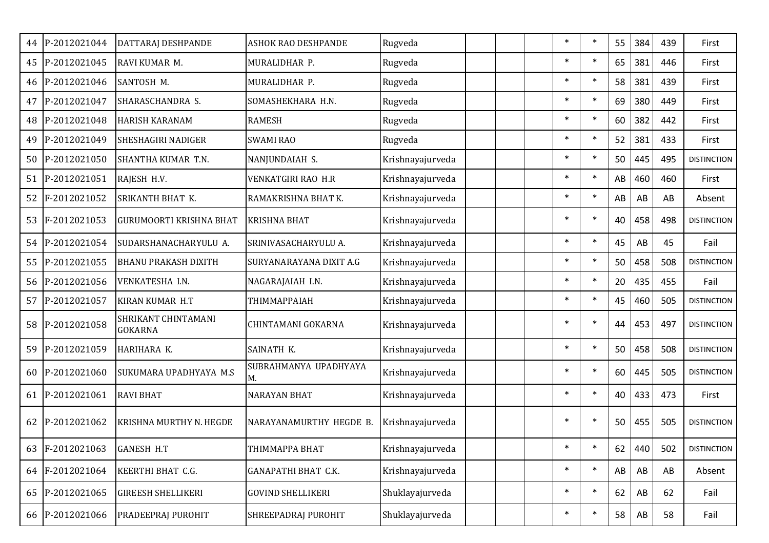| 44 | P-2012021044    | DATTARAJ DESHPANDE                    | ASHOK RAO DESHPANDE         | Rugveda          |  | $\ast$ | $\ast$ | 55 | 384 | 439 | First              |
|----|-----------------|---------------------------------------|-----------------------------|------------------|--|--------|--------|----|-----|-----|--------------------|
|    | 45 P-2012021045 | RAVI KUMAR M.                         | MURALIDHAR P.               | Rugveda          |  | $\ast$ | $\ast$ | 65 | 381 | 446 | First              |
|    | 46 P-2012021046 | SANTOSH M.                            | MURALIDHAR P.               | Rugveda          |  | $\ast$ | $\ast$ | 58 | 381 | 439 | First              |
| 47 | P-2012021047    | SHARASCHANDRA S.                      | SOMASHEKHARA H.N.           | Rugveda          |  | $\ast$ | $\ast$ | 69 | 380 | 449 | First              |
| 48 | P-2012021048    | <b>HARISH KARANAM</b>                 | <b>RAMESH</b>               | Rugveda          |  | $\ast$ | $\ast$ | 60 | 382 | 442 | First              |
| 49 | P-2012021049    | <b>SHESHAGIRI NADIGER</b>             | <b>SWAMI RAO</b>            | Rugveda          |  | $\ast$ | $\ast$ | 52 | 381 | 433 | First              |
| 50 | P-2012021050    | SHANTHA KUMAR T.N.                    | NANJUNDAIAH S.              | Krishnayajurveda |  | $\ast$ | $\ast$ | 50 | 445 | 495 | <b>DISTINCTION</b> |
| 51 | P-2012021051    | RAJESH H.V.                           | VENKATGIRI RAO H.R          | Krishnayajurveda |  | $\ast$ | $\ast$ | AB | 460 | 460 | First              |
| 52 | F-2012021052    | SRIKANTH BHAT K.                      | RAMAKRISHNA BHAT K.         | Krishnayajurveda |  | $\ast$ | $\ast$ | AB | AB  | AB  | Absent             |
| 53 | F-2012021053    | <b>GURUMOORTI KRISHNA BHAT</b>        | <b>KRISHNA BHAT</b>         | Krishnayajurveda |  | $\ast$ | $\ast$ | 40 | 458 | 498 | <b>DISTINCTION</b> |
| 54 | P-2012021054    | SUDARSHANACHARYULU A.                 | SRINIVASACHARYULU A.        | Krishnayajurveda |  | $\ast$ | $\ast$ | 45 | AB  | 45  | Fail               |
| 55 | P-2012021055    | <b>BHANU PRAKASH DIXITH</b>           | SURYANARAYANA DIXIT A.G     | Krishnayajurveda |  | $\ast$ | $\ast$ | 50 | 458 | 508 | <b>DISTINCTION</b> |
| 56 | P-2012021056    | VENKATESHA I.N.                       | NAGARAJAIAH I.N.            | Krishnayajurveda |  | $\ast$ | $\ast$ | 20 | 435 | 455 | Fail               |
|    | 57 P-2012021057 | KIRAN KUMAR H.T                       | ТНІММАРРАІАН                | Krishnayajurveda |  | $\ast$ | $\ast$ | 45 | 460 | 505 | <b>DISTINCTION</b> |
| 58 | P-2012021058    | SHRIKANT CHINTAMANI<br><b>GOKARNA</b> | CHINTAMANI GOKARNA          | Krishnayajurveda |  | $\ast$ | $\ast$ | 44 | 453 | 497 | <b>DISTINCTION</b> |
|    | 59 P-2012021059 | HARIHARA K.                           | SAINATH K.                  | Krishnayajurveda |  | $\ast$ | $\ast$ | 50 | 458 | 508 | <b>DISTINCTION</b> |
| 60 | P-2012021060    | SUKUMARA UPADHYAYA M.S                | SUBRAHMANYA UPADHYAYA<br>М. | Krishnayajurveda |  | $\ast$ | $\ast$ | 60 | 445 | 505 | <b>DISTINCTION</b> |
| 61 | P-2012021061    | <b>RAVI BHAT</b>                      | <b>NARAYAN BHAT</b>         | Krishnayajurveda |  | $\ast$ | $\ast$ | 40 | 433 | 473 | First              |
|    | 62 P-2012021062 | KRISHNA MURTHY N. HEGDE               | NARAYANAMURTHY HEGDE B.     | Krishnayajurveda |  | $\ast$ | $\ast$ | 50 | 455 | 505 | <b>DISTINCTION</b> |
| 63 | F-2012021063    | <b>GANESH H.T</b>                     | ТНІММАРРА ВНАТ              | Krishnayajurveda |  | $\ast$ | $\ast$ | 62 | 440 | 502 | <b>DISTINCTION</b> |
|    | 64 F-2012021064 | KEERTHI BHAT C.G.                     | GANAPATHI BHAT C.K.         | Krishnayajurveda |  | $\ast$ | $\ast$ | AB | AB  | AB  | Absent             |
|    | 65 P-2012021065 | <b>GIREESH SHELLIKERI</b>             | <b>GOVIND SHELLIKERI</b>    | Shuklayajurveda  |  | $\ast$ | $\ast$ | 62 | AB  | 62  | Fail               |
|    | 66 P-2012021066 | PRADEEPRAJ PUROHIT                    | SHREEPADRAJ PUROHIT         | Shuklayajurveda  |  | $\ast$ | $\ast$ | 58 | AB  | 58  | Fail               |